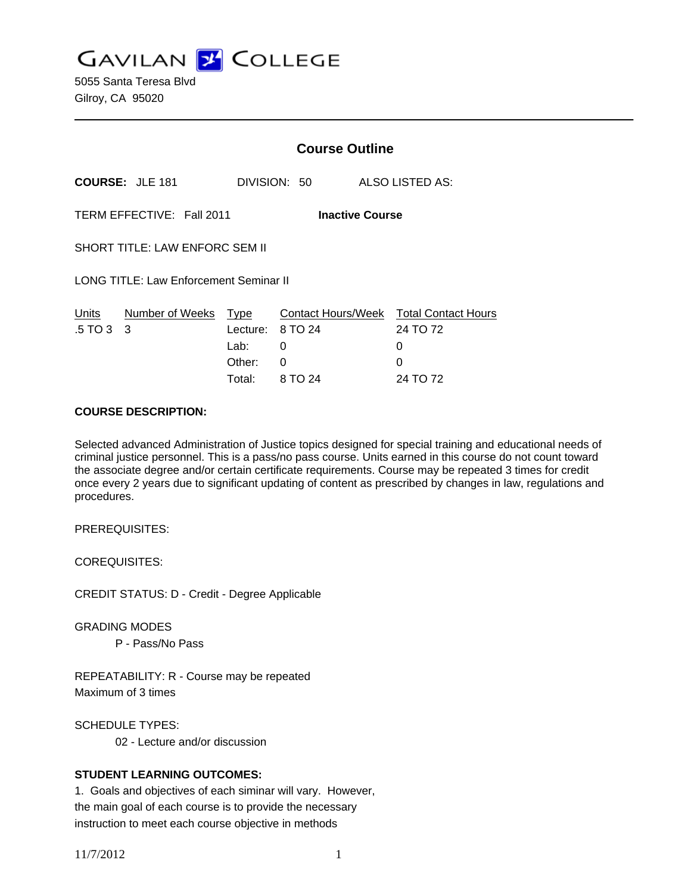**GAVILAN Z COLLEGE** 

5055 Santa Teresa Blvd Gilroy, CA 95020

|                                                     |                        | <b>Course Outline</b> |              |  |                                                    |
|-----------------------------------------------------|------------------------|-----------------------|--------------|--|----------------------------------------------------|
|                                                     | <b>COURSE: JLE 181</b> |                       | DIVISION: 50 |  | ALSO LISTED AS:                                    |
| TERM EFFECTIVE: Fall 2011<br><b>Inactive Course</b> |                        |                       |              |  |                                                    |
| <b>SHORT TITLE: LAW ENFORC SEM II</b>               |                        |                       |              |  |                                                    |
| <b>LONG TITLE: Law Enforcement Seminar II</b>       |                        |                       |              |  |                                                    |
| Units<br>$.5 \,\text{T} \text{O} \,3 \quad 3$       | Number of Weeks Type   | Lecture:              | 8 TO 24      |  | Contact Hours/Week Total Contact Hours<br>24 TO 72 |
|                                                     |                        | Lab:                  | 0            |  | 0                                                  |
|                                                     |                        | Other:                | 0            |  | 0                                                  |

## **COURSE DESCRIPTION:**

Selected advanced Administration of Justice topics designed for special training and educational needs of criminal justice personnel. This is a pass/no pass course. Units earned in this course do not count toward the associate degree and/or certain certificate requirements. Course may be repeated 3 times for credit once every 2 years due to significant updating of content as prescribed by changes in law, regulations and procedures.

Total: 8 TO 24 24 TO 72

PREREQUISITES:

COREQUISITES:

CREDIT STATUS: D - Credit - Degree Applicable

GRADING MODES P - Pass/No Pass

REPEATABILITY: R - Course may be repeated Maximum of 3 times

SCHEDULE TYPES:

02 - Lecture and/or discussion

#### **STUDENT LEARNING OUTCOMES:**

1. Goals and objectives of each siminar will vary. However, the main goal of each course is to provide the necessary instruction to meet each course objective in methods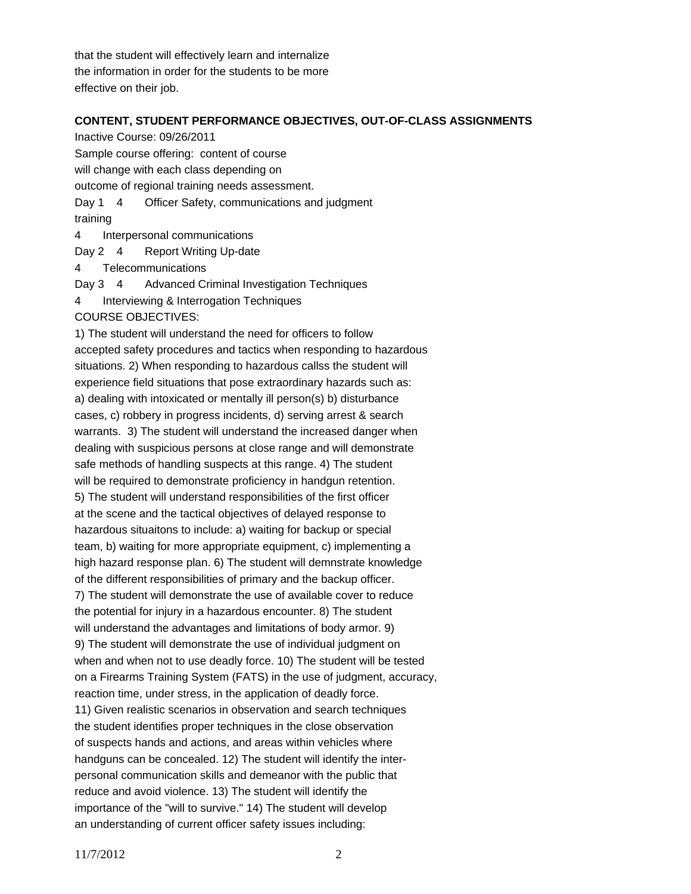that the student will effectively learn and internalize the information in order for the students to be more effective on their job.

#### **CONTENT, STUDENT PERFORMANCE OBJECTIVES, OUT-OF-CLASS ASSIGNMENTS**

Inactive Course: 09/26/2011 Sample course offering: content of course will change with each class depending on outcome of regional training needs assessment. Day 1 4 Officer Safety, communications and judgment training 4 Interpersonal communications

Day 2 4 Report Writing Up-date

4 Telecommunications

Day 3 4 Advanced Criminal Investigation Techniques

- 4 Interviewing & Interrogation Techniques
- COURSE OBJECTIVES:

1) The student will understand the need for officers to follow accepted safety procedures and tactics when responding to hazardous situations. 2) When responding to hazardous callss the student will experience field situations that pose extraordinary hazards such as: a) dealing with intoxicated or mentally ill person(s) b) disturbance cases, c) robbery in progress incidents, d) serving arrest & search warrants. 3) The student will understand the increased danger when dealing with suspicious persons at close range and will demonstrate safe methods of handling suspects at this range. 4) The student will be required to demonstrate proficiency in handgun retention. 5) The student will understand responsibilities of the first officer at the scene and the tactical objectives of delayed response to hazardous situaitons to include: a) waiting for backup or special team, b) waiting for more appropriate equipment, c) implementing a high hazard response plan. 6) The student will demnstrate knowledge of the different responsibilities of primary and the backup officer. 7) The student will demonstrate the use of available cover to reduce the potential for injury in a hazardous encounter. 8) The student will understand the advantages and limitations of body armor. 9) 9) The student will demonstrate the use of individual judgment on when and when not to use deadly force. 10) The student will be tested on a Firearms Training System (FATS) in the use of judgment, accuracy, reaction time, under stress, in the application of deadly force. 11) Given realistic scenarios in observation and search techniques the student identifies proper techniques in the close observation of suspects hands and actions, and areas within vehicles where handguns can be concealed. 12) The student will identify the interpersonal communication skills and demeanor with the public that reduce and avoid violence. 13) The student will identify the importance of the "will to survive." 14) The student will develop an understanding of current officer safety issues including: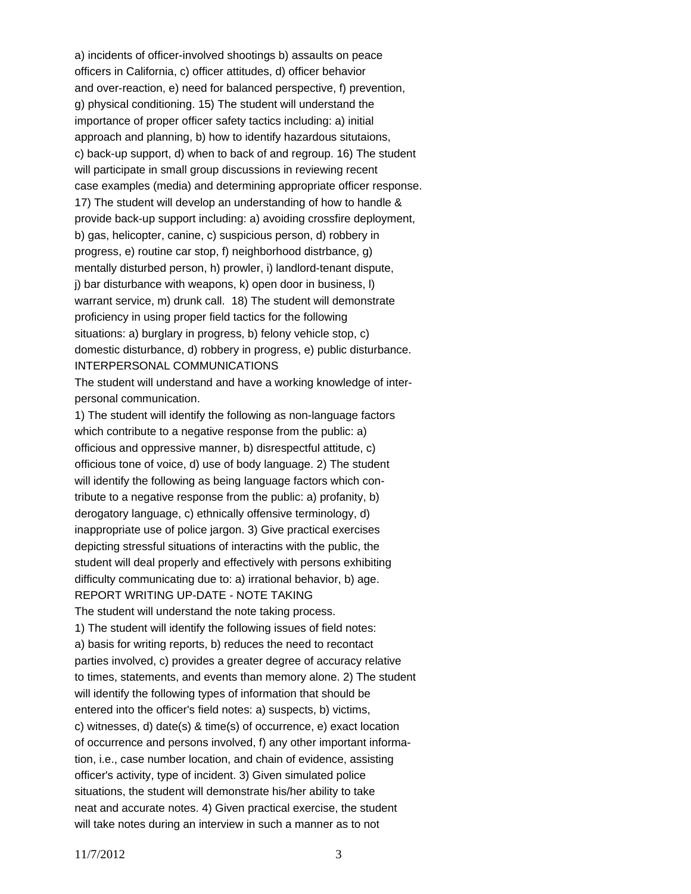a) incidents of officer-involved shootings b) assaults on peace officers in California, c) officer attitudes, d) officer behavior and over-reaction, e) need for balanced perspective, f) prevention, g) physical conditioning. 15) The student will understand the importance of proper officer safety tactics including: a) initial approach and planning, b) how to identify hazardous situtaions, c) back-up support, d) when to back of and regroup. 16) The student will participate in small group discussions in reviewing recent case examples (media) and determining appropriate officer response. 17) The student will develop an understanding of how to handle & provide back-up support including: a) avoiding crossfire deployment, b) gas, helicopter, canine, c) suspicious person, d) robbery in progress, e) routine car stop, f) neighborhood distrbance, g) mentally disturbed person, h) prowler, i) landlord-tenant dispute, j) bar disturbance with weapons, k) open door in business, l) warrant service, m) drunk call. 18) The student will demonstrate proficiency in using proper field tactics for the following situations: a) burglary in progress, b) felony vehicle stop, c) domestic disturbance, d) robbery in progress, e) public disturbance. INTERPERSONAL COMMUNICATIONS

The student will understand and have a working knowledge of interpersonal communication.

1) The student will identify the following as non-language factors which contribute to a negative response from the public: a) officious and oppressive manner, b) disrespectful attitude, c) officious tone of voice, d) use of body language. 2) The student will identify the following as being language factors which contribute to a negative response from the public: a) profanity, b) derogatory language, c) ethnically offensive terminology, d) inappropriate use of police jargon. 3) Give practical exercises depicting stressful situations of interactins with the public, the student will deal properly and effectively with persons exhibiting difficulty communicating due to: a) irrational behavior, b) age. REPORT WRITING UP-DATE - NOTE TAKING The student will understand the note taking process. 1) The student will identify the following issues of field notes: a) basis for writing reports, b) reduces the need to recontact parties involved, c) provides a greater degree of accuracy relative to times, statements, and events than memory alone. 2) The student will identify the following types of information that should be entered into the officer's field notes: a) suspects, b) victims, c) witnesses, d) date(s) & time(s) of occurrence, e) exact location of occurrence and persons involved, f) any other important information, i.e., case number location, and chain of evidence, assisting officer's activity, type of incident. 3) Given simulated police situations, the student will demonstrate his/her ability to take neat and accurate notes. 4) Given practical exercise, the student

will take notes during an interview in such a manner as to not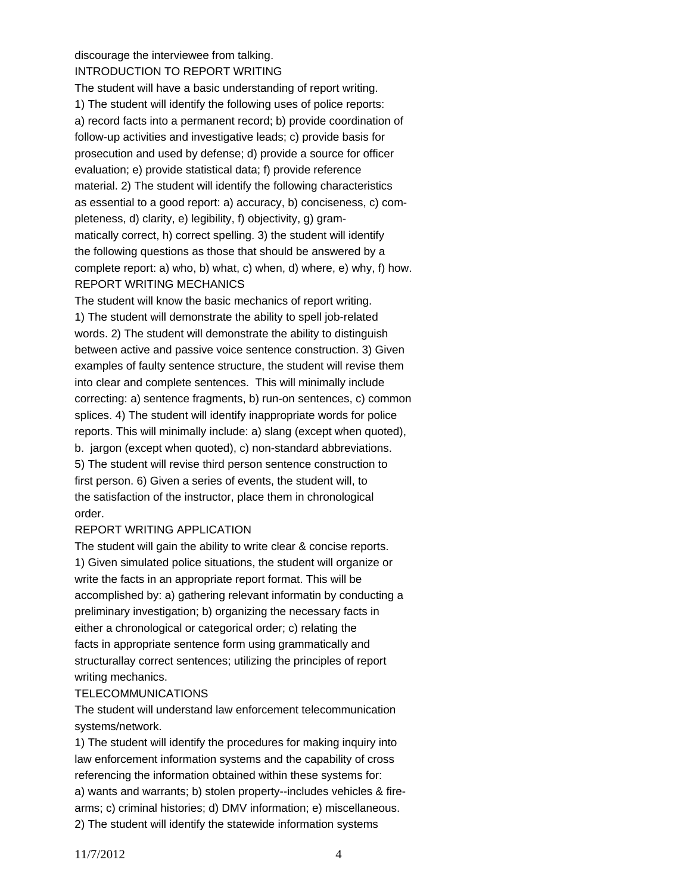discourage the interviewee from talking. INTRODUCTION TO REPORT WRITING

The student will have a basic understanding of report writing. 1) The student will identify the following uses of police reports: a) record facts into a permanent record; b) provide coordination of follow-up activities and investigative leads; c) provide basis for prosecution and used by defense; d) provide a source for officer evaluation; e) provide statistical data; f) provide reference material. 2) The student will identify the following characteristics as essential to a good report: a) accuracy, b) conciseness, c) completeness, d) clarity, e) legibility, f) objectivity, g) grammatically correct, h) correct spelling. 3) the student will identify the following questions as those that should be answered by a complete report: a) who, b) what, c) when, d) where, e) why, f) how. REPORT WRITING MECHANICS

The student will know the basic mechanics of report writing. 1) The student will demonstrate the ability to spell job-related words. 2) The student will demonstrate the ability to distinguish between active and passive voice sentence construction. 3) Given examples of faulty sentence structure, the student will revise them into clear and complete sentences. This will minimally include correcting: a) sentence fragments, b) run-on sentences, c) common splices. 4) The student will identify inappropriate words for police reports. This will minimally include: a) slang (except when quoted), b. jargon (except when quoted), c) non-standard abbreviations. 5) The student will revise third person sentence construction to first person. 6) Given a series of events, the student will, to the satisfaction of the instructor, place them in chronological order.

# REPORT WRITING APPLICATION

The student will gain the ability to write clear & concise reports. 1) Given simulated police situations, the student will organize or write the facts in an appropriate report format. This will be accomplished by: a) gathering relevant informatin by conducting a preliminary investigation; b) organizing the necessary facts in either a chronological or categorical order; c) relating the facts in appropriate sentence form using grammatically and structurallay correct sentences; utilizing the principles of report writing mechanics.

#### **TELECOMMUNICATIONS**

The student will understand law enforcement telecommunication systems/network.

1) The student will identify the procedures for making inquiry into law enforcement information systems and the capability of cross referencing the information obtained within these systems for: a) wants and warrants; b) stolen property--includes vehicles & firearms; c) criminal histories; d) DMV information; e) miscellaneous. 2) The student will identify the statewide information systems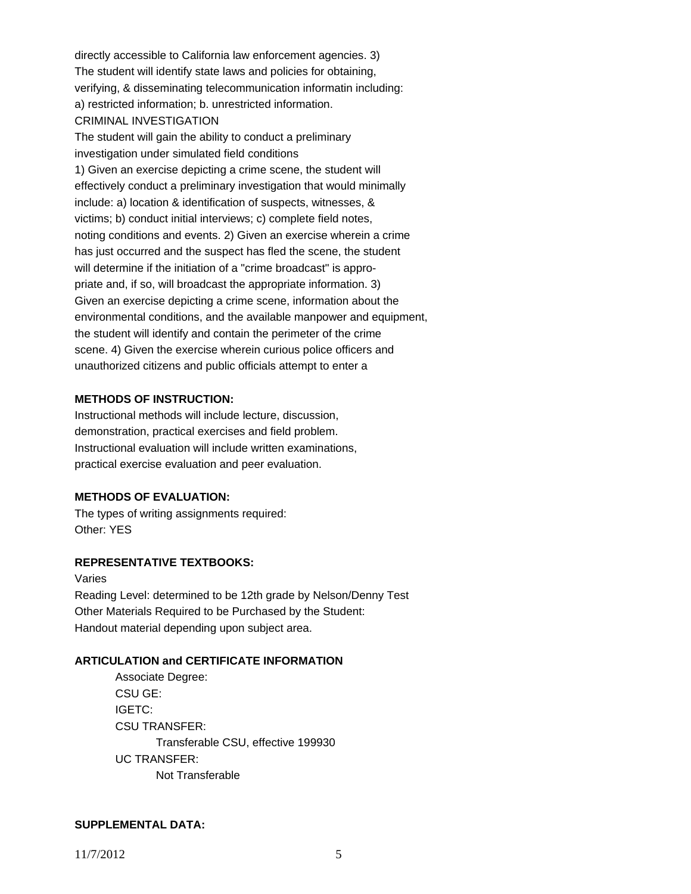directly accessible to California law enforcement agencies. 3) The student will identify state laws and policies for obtaining, verifying, & disseminating telecommunication informatin including: a) restricted information; b. unrestricted information. CRIMINAL INVESTIGATION

The student will gain the ability to conduct a preliminary investigation under simulated field conditions 1) Given an exercise depicting a crime scene, the student will effectively conduct a preliminary investigation that would minimally include: a) location & identification of suspects, witnesses, & victims; b) conduct initial interviews; c) complete field notes, noting conditions and events. 2) Given an exercise wherein a crime has just occurred and the suspect has fled the scene, the student will determine if the initiation of a "crime broadcast" is appropriate and, if so, will broadcast the appropriate information. 3) Given an exercise depicting a crime scene, information about the environmental conditions, and the available manpower and equipment, the student will identify and contain the perimeter of the crime scene. 4) Given the exercise wherein curious police officers and unauthorized citizens and public officials attempt to enter a

#### **METHODS OF INSTRUCTION:**

Instructional methods will include lecture, discussion, demonstration, practical exercises and field problem. Instructional evaluation will include written examinations, practical exercise evaluation and peer evaluation.

#### **METHODS OF EVALUATION:**

The types of writing assignments required: Other: YES

## **REPRESENTATIVE TEXTBOOKS:**

Varies Reading Level: determined to be 12th grade by Nelson/Denny Test Other Materials Required to be Purchased by the Student: Handout material depending upon subject area.

## **ARTICULATION and CERTIFICATE INFORMATION**

 Transferable CSU, effective 199930 UC TRANSFER: Not Transferable Associate Degree: CSU GE: IGETC: CSU TRANSFER:

#### **SUPPLEMENTAL DATA:**